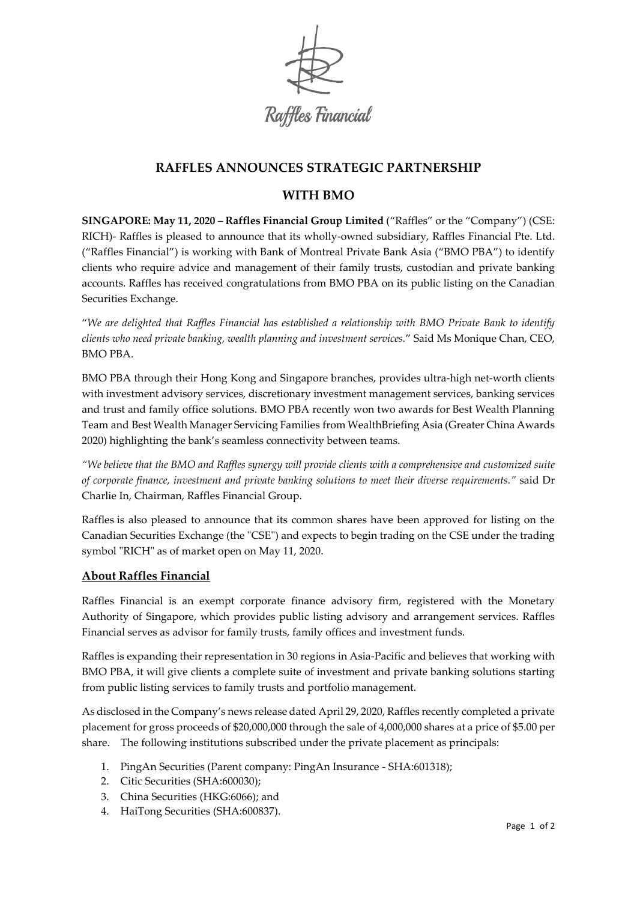

# **RAFFLES ANNOUNCES STRATEGIC PARTNERSHIP**

# **WITH BMO**

**SINGAPORE: May 11, 2020 – [Raffles Financial Group Limited](https://thecse.com/en/listings/diversified-industries/raffles-financial-group-limited)** ("Raffles" or the "Company") (CSE: RICH)- Raffles is pleased to announce that its wholly-owned subsidiary, Raffles Financial Pte. Ltd. ("Raffles Financial") is working with Bank of Montreal Private Bank Asia ("BMO PBA") to identify clients who require advice and management of their family trusts, custodian and private banking accounts. Raffles has received congratulations from BMO PBA on its public listing on the Canadian Securities Exchange.

"*We are delighted that Raffles Financial has established a relationship with BMO Private Bank to identify clients who need private banking, wealth planning and investment services.*" Said Ms Monique Chan, CEO, BMO PBA.

BMO PBA through their Hong Kong and Singapore branches, provides ultra-high net-worth clients with investment advisory services, discretionary investment management services, banking services and trust and family office solutions. BMO PBA recently won two awards for Best Wealth Planning Team and Best Wealth Manager Servicing Families from WealthBriefing Asia (Greater China Awards 2020) highlighting the bank's seamless connectivity between teams.

*"We believe that the BMO and Raffles synergy will provide clients with a comprehensive and customized suite of corporate finance, investment and private banking solutions to meet their diverse requirements."* said Dr Charlie In, Chairman, Raffles Financial Group.

Raffles is also pleased to announce that its common shares have been approved for listing on the Canadian Securities Exchange (the "CSE") and expects to begin trading on the CSE under the trading symbol "RICH" as of market open on May 11, 2020.

# **About Raffles Financial**

Raffles Financial is an exempt corporate finance advisory firm, registered with the Monetary Authority of Singapore, which provides public listing advisory and arrangement services. Raffles Financial serves as advisor for family trusts, family offices and investment funds.

Raffles is expanding their representation in 30 regions in Asia-Pacific and believes that working with BMO PBA, it will give clients a complete suite of investment and private banking solutions starting from public listing services to family trusts and portfolio management.

As disclosed in the Company's news release dated April 29, 2020, Raffles recently completed a private placement for gross proceeds of \$20,000,000 through the sale of 4,000,000 shares at a price of \$5.00 per share. The following institutions subscribed under the private placement as principals:

- 1. PingAn Securities (Parent company: PingAn Insurance SHA:601318);
- 2. Citic Securities (SHA:600030);
- 3. China Securities (HKG:6066); and
- 4. HaiTong Securities (SHA:600837).